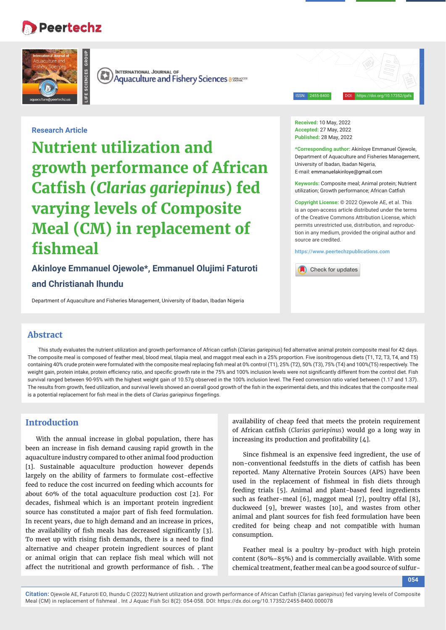# **Peertechz**

**LIFE SCIENCES GROUP**



**INTERNATIONAL JOURNAL OF**  $\left( \mathbb{R}\right)$ **Aquaculture and Fishery Sciences assessed Aquaculture and Fishery Sciences** 

ISSN: 2455-8400 DOI: https://doi.org/10.17352/ijafs

# **Research Article**

**Nutrient utilization and growth performance of African Catfish (Clarias gariepinus) fed varying levels of Composite Meal (CM) in replacement of fi shmeal** 

# **Akinloye Emmanuel Ojewole\*, Emmanuel Olujimi Faturoti and Christianah Ihundu**

Department of Aquaculture and Fisheries Management, University of Ibadan, Ibadan Nigeria

**Received:** 10 May, 2022 **Accepted:** 27 May, 2022 **Published:** 28 May, 2022

**\*Corresponding author:** Akinloye Emmanuel Ojewole, Department of Aquaculture and Fisheries Management, University of Ibadan, Ibadan Nigeria, E-mail: emmanuelakinloye@gmail.com

**Keywords:** Composite meal; Animal protein; Nutrient utilization; Growth performance; African Catfish

**Copyright License:** © 2022 Ojewole AE, et al. This is an open-access article distributed under the terms of the Creative Commons Attribution License, which permits unrestricted use, distribution, and reproduction in any medium, provided the original author and source are credited.

**https://www.peertechzpublications.com**

Check for updates

# **Abstract**

This study evaluates the nutrient utilization and growth performance of African catfish (Clarias gariepinus) fed alternative animal protein composite meal for 42 days. The composite meal is composed of feather meal, blood meal, tilapia meal, and maggot meal each in a 25% proportion. Five isonitrogenous diets (T1, T2, T3, T4, and T5) containing 40% crude protein were formulated with the composite meal replacing fish meal at 0% control (T1), 25% (T2), 50% (T3), 75% (T4) and 100%(T5) respectively. The weight gain, protein intake, protein efficiency ratio, and specific growth rate in the 75% and 100% inclusion levels were not significantly different from the control diet. Fish survival ranged between 90-95% with the highest weight gain of 10.57g observed in the 100% inclusion level. The Feed conversion ratio varied between (1.17 and 1.37). The results from growth, feed utilization, and survival levels showed an overall good growth of the fish in the experimental diets, and this indicates that the composite meal is a potential replacement for fish meal in the diets of *Clarias gariepinus* fingerlings.

# **Introduction**

With the annual increase in global population, there has been an increase in fish demand causing rapid growth in the aquaculture industry compared to other animal food production [1]. Sustainable aquaculture production however depends largely on the ability of farmers to formulate cost-effective feed to reduce the cost incurred on feeding which accounts for about 60% of the total aquaculture production cost [2]. For decades, fishmeal which is an important protein ingredient source has constituted a major part of fish feed formulation. In recent years, due to high demand and an increase in prices, the availability of fish meals has decreased significantly [3]. To meet up with rising fish demands, there is a need to find alternative and cheaper protein ingredient sources of plant or animal origin that can replace fish meal which will not affect the nutritional and growth performance of fish. . The

availability of cheap feed that meets the protein requirement of African catfish (*Clarias gariepinus*) would go a long way in increasing its production and profitability  $[4]$ .

Since fishmeal is an expensive feed ingredient, the use of non-conventional feedstuffs in the diets of catfish has been reported. Many Alternative Protein Sources (APS) have been used in the replacement of fishmeal in fish diets through feeding trials [5]. Animal and plant-based feed ingredients such as feather-meal [6], maggot meal [7], poultry offal [8], duckweed [9], brewer wastes [10], and wastes from other animal and plant sources for fish feed formulation have been credited for being cheap and not compatible with human consumption.

Feather meal is a poultry by-product with high protein content (80%-85%) and is commercially available. With some chemical treatment, feather meal can be a good source of sulfur-

**054**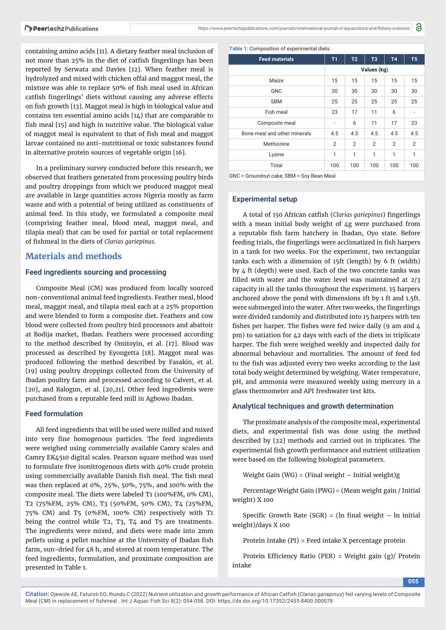containing amino acids [11]. A dietary feather meal inclusion of not more than 25% in the diet of catfish fingerlings has been reported by Serwata and Davies [12]. When feather meal is hydrolyzed and mixed with chicken offal and maggot meal, the mixture was able to replace 50% of fish meal used in African catfish fingerlings' diets without causing any adverse effects on fish growth [13]. Maggot meal is high in biological value and contains ten essential amino acids [14] that are comparable to fish meal [15] and high in nutritive value. The biological value of maggot meal is equivalent to that of fish meal and maggot larvae contained no anti-nutritional or toxic substances found in alternative protein sources of vegetable origin [16].

In a preliminary survey conducted before this research, we observed that feathers generated from processing poultry birds and poultry droppings from which we produced maggot meal are available in large quantities across Nigeria mostly as farm waste and with a potential of being utilized as constituents of animal feed. In this study, we formulated a composite meal (comprising feather meal, blood meal, maggot meal, and tilapia meal) that can be used for partial or total replacement of fi shmeal in the diets of *Clarias gariepinus.* 

# **Materials and methods**

## **Feed ingredients sourcing and processing**

Composite Meal (CM) was produced from locally sourced non-conventional animal feed ingredients. Feather meal, blood meal, maggot meal, and tilapia meal each at a 25% proportion and were blended to form a composite diet. Feathers and cow blood were collected from poultry bird processors and abattoir at Bodija market, Ibadan. Feathers were processed according to the method described by Omitoyin, et al. [17]. Blood was processed as described by Eyongetta [18]. Maggot meal was produced following the method described by Fasakin, et al. [19] using poultry droppings collected from the University of Ibadan poultry farm and processed according to Calvert, et al. [20], and Balogun, et al. [20,21]. Other feed ingredients were purchased from a reputable feed mill in Agbowo Ibadan.

## **Feed formulation**

All feed ingredients that will be used were milled and mixed into very fine homogenous particles. The feed ingredients were weighed using commercially available Camry scales and Camry EK4510 digital scales. Pearson square method was used to formulate five isonitrogenous diets with  $40\%$  crude protein using commercially available Danish fish meal. The fish meal was then replaced at 0%, 25%, 50%, 75%, and 100% with the composite meal. The diets were labeled T1 (100%FM, 0% CM), T2 (75%FM, 25% CM), T3 (50%FM, 50% CM), T4 (25%FM, 75% CM) and T5 (0%FM, 100% CM) respectively with T1 being the control while T2, T3, T4 and T5 are treatments. The ingredients were mixed, and diets were made into 2mm pellets using a pellet machine at the University of Ibadan fish farm, sun-dried for 48 h, and stored at room temperature. The feed ingredients, formulation, and proximate composition are presented in Table 1.

**Table 1:** Composition of experimental diets.

| T1                       | T <sub>2</sub> | T <sub>3</sub> | <b>T4</b>      | T <sub>5</sub> |
|--------------------------|----------------|----------------|----------------|----------------|
| Values (kg)              |                |                |                |                |
| 15                       | 15             | 15             | 15             | 15             |
| 30                       | 30             | 30             | 30             | 30             |
| 25                       | 25             | 25             | 25             | 25             |
| 23                       | 17             | 11             | 6              |                |
| $\overline{\phantom{0}}$ | 6              | 11             | 17             | 23             |
| 4.5                      | 4.5            | 4.5            | 4.5            | 4.5            |
| $\overline{2}$           | 2              | $\overline{2}$ | $\overline{2}$ | 2              |
| 1                        | $\mathbf{1}$   | 1              | 1              | 1              |
| 100                      | 100            | 100            | 100            | 100            |
|                          |                |                |                |                |

GNC = Groundnut cake; SBM = Soy Bean Meal

## **Experimental setup**

A total of 150 African catfish (*Clarias gariepinus*) fingerlings with a mean initial body weight of 4g were purchased from a reputable fish farm hatchery in Ibadan, Oyo state. Before feeding trials, the fingerlings were acclimatized in fish harpers in a tank for two weeks. For the experiment, two rectangular tanks each with a dimension of 15ft (length) by 6 ft (width) by 4 ft (depth) were used. Each of the two concrete tanks was filled with water and the water level was maintained at  $2/3$ capacity in all the tanks throughout the experiment. 15 harpers anchored above the pond with dimensions 1ft by 1 ft and 1.5ft. were submerged into the water. After two weeks, the fingerlings were divided randomly and distributed into 15 harpers with ten fishes per harper. The fishes were fed twice daily (9 am and  $\mu$ ) pm) to satiation for 42 days with each of the diets in triplicate harper. The fish were weighed weekly and inspected daily for abnormal behaviour and mortalities. The amount of feed fed to the fish was adjusted every two weeks according to the last total body weight determined by weighing. Water temperature, pH, and ammonia were measured weekly using mercury in a glass thermometer and API freshwater test kits.

## **Analytical techniques and growth determination**

The proximate analysis of the composite meal, experimental diets, and experimental fish was done using the method described by [22] methods and carried out in triplicates. The experimental fish growth performance and nutrient utilization were based on the following biological parameters.

Weight Gain (WG) = (Final weight – Initial weight)g

Percentage Weight Gain (PWG)= (Mean weight gain / Initial weight) X 100

Specific Growth Rate (SGR) = (ln final weight  $-$  ln initial weight)/days X 100

Protein Intake (PI) = Feed intake X percentage protein

Protein Efficiency Ratio (PER) = Weight gain  $(g)$ / Protein intake

**055**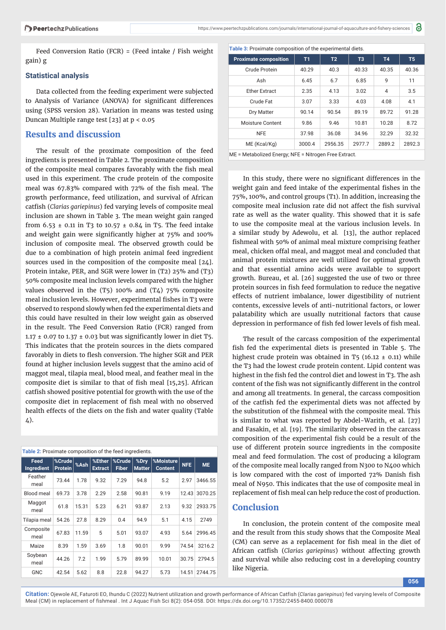Feed Conversion Ratio (FCR) = (Feed intake / Fish weight gain) g

#### **Statistical analysis**

Data collected from the feeding experiment were subjected to Analysis of Variance (ANOVA) for significant differences using (SPSS version 28). Variation in means was tested using Duncan Multiple range test [23] at p < 0.05

## **Results and discussion**

The result of the proximate composition of the feed ingredients is presented in Table 2. The proximate composition of the composite meal compares favorably with the fish meal used in this experiment. The crude protein of the composite meal was 67.83% compared with 72% of the fish meal. The growth performance, feed utilization, and survival of African catfish (*Clarias gariepinus*) fed varying levels of composite meal inclusion are shown in Table 3. The mean weight gain ranged from 6.53  $\pm$  0.11 in T3 to 10.57  $\pm$  0.84 in T5. The feed intake and weight gain were significantly higher at  $75%$  and  $100%$ inclusion of composite meal. The observed growth could be due to a combination of high protein animal feed ingredient sources used in the composition of the composite meal [24]. Protein intake, PER, and SGR were lower in (T2) 25% and (T3) 50% composite meal inclusion levels compared with the higher values observed in the  $(T5)$  100% and  $(T4)$  75% composite meal inclusion levels. However, experimental fishes in T3 were observed to respond slowly when fed the experimental diets and this could have resulted in their low weight gain as observed in the result. The Feed Conversion Ratio (FCR) ranged from 1.17  $\pm$  0.07 to 1.37  $\pm$  0.03 but was significantly lower in diet T5. This indicates that the protein sources in the diets compared favorably in diets to flesh conversion. The higher SGR and PER found at higher inclusion levels suggest that the amino acid of maggot meal, tilapia meal, blood meal, and feather meal in the composite diet is similar to that of fish meal [15,25]. African catfish showed positive potential for growth with the use of the composite diet in replacement of fish meal with no observed health effects of the diets on the fish and water quality (Table  $\Delta$ ).

| Feed<br><b>Ingredient</b> | %Crude<br><b>Protein</b> | % Ash | %Ether<br><b>Extract</b> | %Crude<br><b>Fiber</b> | %Dry<br><b>Matter</b> | %Moisture<br><b>Content</b> | <b>NFE</b> | <b>ME</b> |
|---------------------------|--------------------------|-------|--------------------------|------------------------|-----------------------|-----------------------------|------------|-----------|
| Feather<br>meal           | 73.44                    | 1.78  | 9.32                     | 7.29                   | 94.8                  | 5.2                         | 2.97       | 3466.55   |
| Blood meal                | 69.73                    | 3.78  | 2.29                     | 2.58                   | 90.81                 | 9.19                        | 12.43      | 3070.25   |
| Maggot<br>meal            | 61.8                     | 15.31 | 5.23                     | 6.21                   | 93.87                 | 2.13                        | 9.32       | 2933.75   |
| Tilapia meal              | 54.26                    | 27.8  | 8.29                     | 0.4                    | 94.9                  | 5.1                         | 4.15       | 2749      |
| Composite<br>meal         | 67.83                    | 11.59 | 5                        | 5.01                   | 93.07                 | 4.93                        | 5.64       | 2996.45   |
| Maize                     | 8.39                     | 1.59  | 3.69                     | 1.8                    | 90.01                 | 9.99                        | 74.54      | 3216.2    |
| Soybean<br>meal           | 44.26                    | 7.2   | 1.99                     | 5.79                   | 89.99                 | 10.01                       | 30.75      | 2794.5    |
| <b>GNC</b>                | 42.54                    | 5.62  | 8.8                      | 22.8                   | 94.27                 | 5.73                        | 14.51      | 2744.75   |

#### **Table 2:** Proximate composition of the feed ingredients.

| <b>Table 3:</b> Proximate composition of the experimental diets. |  |
|------------------------------------------------------------------|--|
|------------------------------------------------------------------|--|

| <b>Proximate composition</b>                          | <b>T1</b> | T <sub>2</sub> | T <sub>3</sub> | <b>T4</b>      | T <sub>5</sub> |  |
|-------------------------------------------------------|-----------|----------------|----------------|----------------|----------------|--|
| Crude Protein                                         | 40.29     | 40.3           | 40.33          | 40.35          | 40.36          |  |
| Ash                                                   | 6.45      | 6.7            | 6.85           | 9              | 11             |  |
| <b>Ether Extract</b>                                  | 2.35      | 4.13           | 3.02           | $\overline{4}$ | 3.5            |  |
| Crude Fat                                             | 3.07      | 3.33           | 4.03           | 4.08           | 4.1            |  |
| Dry Matter                                            | 90.14     | 90.54          | 89.19          | 89.72          | 91.28          |  |
| Moisture Content                                      | 9.86      | 9.46           | 10.81          | 10.28          | 8.72           |  |
| <b>NFE</b>                                            | 37.98     | 36.08          | 34.96          | 32.29          | 32.32          |  |
| ME (Kcal/Kg)                                          | 3000.4    | 2956.35        | 2977.7         | 2889.2         | 2892.3         |  |
| ME = Metabolized Energy; NFE = Nitrogen Free Extract. |           |                |                |                |                |  |

In this study, there were no significant differences in the weight gain and feed intake of the experimental fishes in the 75%, 100%, and control groups (T1). In addition, increasing the composite meal inclusion rate did not affect the fish survival rate as well as the water quality. This showed that it is safe to use the composite meal at the various inclusion levels. In a similar study by Adewolu, et al*.* [13], the author replaced fishmeal with 50% of animal meal mixture comprising feather meal, chicken offal meal, and maggot meal and concluded that animal protein mixtures are well utilized for optimal growth and that essential amino acids were available to support growth. Bureau, et al. [26] suggested the use of two or three protein sources in fish feed formulation to reduce the negative effects of nutrient imbalance, lower digestibility of nutrient contents, excessive levels of anti-nutritional factors, or lower palatability which are usually nutritional factors that cause depression in performance of fish fed lower levels of fish meal.

The result of the carcass composition of the experimental fish fed the experimental diets is presented in Table 5. The highest crude protein was obtained in T5  $(16.12 \pm 0.11)$  while the T3 had the lowest crude protein content. Lipid content was highest in the fish fed the control diet and lowest in T3. The ash content of the fish was not significantly different in the control and among all treatments. In general, the carcass composition of the catfish fed the experimental diets was not affected by the substitution of the fishmeal with the composite meal. This is similar to what was reported by Abdel-Warith, et al. [27] and Fasakin, et al. [19]. The similarity observed in the carcass composition of the experimental fish could be a result of the use of different protein source ingredients in the composite meal and feed formulation. The cost of producing a kilogram of the composite meal locally ranged from N300 to N400 which is low compared with the cost of imported 72% Danish fish meal of N950. This indicates that the use of composite meal in replacement of fish meal can help reduce the cost of production.

# **Conclusion**

In conclusion, the protein content of the composite meal and the result from this study shows that the Composite Meal (CM) can serve as a replacement for fish meal in the diet of African catfish (*Clarias gariepinus*) without affecting growth and survival while also reducing cost in a developing country like Nigeria.

**056**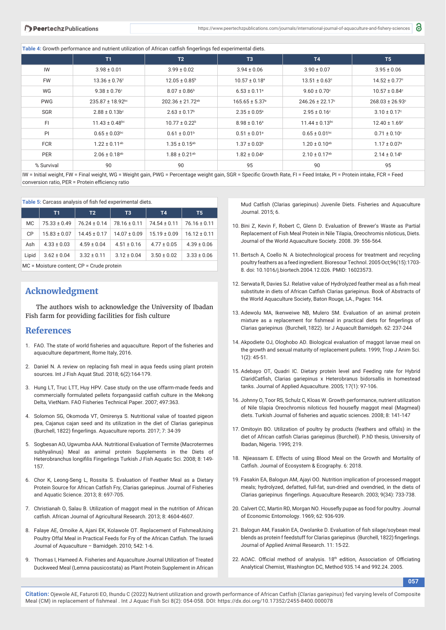Table 4: Growth performance and nutrient utilization of African catfish fingerlings fed experimental diets.

|            | T1                            | T2                            | T3                             | T <sub>4</sub>                 | T <sub>5</sub>                  |  |  |
|------------|-------------------------------|-------------------------------|--------------------------------|--------------------------------|---------------------------------|--|--|
| IW         | $3.98 \pm 0.01$               | $3.99 \pm 0.02$               | $3.94 \pm 0.06$                | $3.90 \pm 0.07$                | $3.95 \pm 0.06$                 |  |  |
| <b>FW</b>  | $13.36 \pm 0.76$ °            | $12.05 \pm 0.85^{\circ}$      | $10.57 \pm 0.18$ <sup>a</sup>  | $13.51 \pm 0.63$ °             | $14.52 \pm 0.77$ °              |  |  |
| WG         | $9.38 \pm 0.76$ °             | $8.07 \pm 0.86$ <sup>b</sup>  | $6.53 \pm 0.11$ <sup>a</sup>   | $9.60 \pm 0.70$ °              | $10.57 \pm 0.84$ °              |  |  |
| <b>PWG</b> | $235.87 \pm 18.92$ bc         | 202.36 ± 21.72 <sup>ab</sup>  | $165.65 \pm 5.37$ <sup>a</sup> | $246.26 \pm 22.17$ °           | $268.03 \pm 26.93$ <sup>c</sup> |  |  |
| <b>SGR</b> | $2.88 \pm 0.13 b^{\circ}$     | $2.63 \pm 0.17$ <sup>b</sup>  | $2.35 \pm 0.05^{\circ}$        | $2.95 \pm 0.16$ °              | $3.10 \pm 0.17$ °               |  |  |
| FI         | $11.43 \pm 0.48$ bc           | $10.77 \pm 0.22$ <sup>b</sup> | $8.98 \pm 0.16$ <sup>a</sup>   | $11.44 \pm 0.13$ <sup>bc</sup> | $12.40 \pm 1.69$ <sup>c</sup>   |  |  |
| PI         | $0.65 \pm 0.03$ bc            | $0.61 \pm 0.01$ <sup>b</sup>  | $0.51 \pm 0.01^{\circ}$        | $0.65 \pm 0.01$ <sup>bc</sup>  | $0.71 \pm 0.10^{\circ}$         |  |  |
| <b>FCR</b> | $1.22 \pm 0.11^{ab}$          | $1.35 \pm 0.15^{ab}$          | $1.37 \pm 0.03^b$              | $1.20 \pm 0.10^{ab}$           | $1.17 \pm 0.07$ <sup>a</sup>    |  |  |
| <b>PER</b> | $2.06 \pm 0.18$ <sup>ab</sup> | $1.88 \pm 0.21$ <sup>ab</sup> | $1.82 \pm 0.04$ <sup>a</sup>   | $2.10 \pm 0.17$ <sup>ab</sup>  | $2.14 \pm 0.14$ <sup>b</sup>    |  |  |
| % Survival | 90                            | 90                            | 95                             | 90                             | 95                              |  |  |

IW = Initial weight, FW = Final weight, WG = Weight gain, PWG = Percentage weight gain, SGR = Specific Growth Rate, FI = Feed Intake, PI = Protein intake, FCR = Feed conversion ratio, PER = Protein efficiency ratio

Table 5: Carcass analysis of fish fed experimental diets.

|                                   | T1.              | T2               | T <sub>3</sub>   | <b>T4</b>        | T <sub>5</sub>   |  |
|-----------------------------------|------------------|------------------|------------------|------------------|------------------|--|
| MC.                               | $75.33 \pm 0.49$ | $76.24 \pm 0.14$ | $78.16 \pm 0.11$ | $74.54 \pm 0.11$ | $76.16 \pm 0.11$ |  |
| CP                                | $15.83 \pm 0.07$ | $14.45 \pm 0.17$ | $14.07 \pm 0.09$ | $15.19 \pm 0.09$ | $16.12 \pm 0.11$ |  |
| Ash                               | $4.33 \pm 0.03$  | $4.59 \pm 0.04$  | $4.51 \pm 0.16$  | $4.77 \pm 0.05$  | $4.39 \pm 0.06$  |  |
| Lipid                             | $3.62 \pm 0.04$  | $3.32 \pm 0.11$  | $3.12 \pm 0.04$  | $3.50 \pm 0.02$  | $3.33 \pm 0.06$  |  |
| $MC = Meisture$ content: $CD = C$ |                  |                  |                  |                  |                  |  |

= Moisture content; CP = Crude proteir

# **Acknowledgment**

The authors wish to acknowledge the University of Ibadan Fish farm for providing facilities for fish culture

## **References**

- 1. FAO. The state of world fisheries and aquaculture. Report of the fisheries and aquaculture department, Rome Italy, 2016.
- 2. Daniel N. A review on replacing fish meal in aqua feeds using plant protein sources. Int J Fish Aquat Stud. 2018; 6(2):164-179.
- 3. Hung LT, Truc LTT, Huy HPV. Case study on the use offarm-made feeds and commercially formulated pellets forpangasiid catfish culture in the Mekong Delta, VietNam. FAO Fisheries Technical Paper. 2007; 497:363.
- 4. Solomon SG, Okomoda VT, Omirenya S. Nutritional value of toasted pigeon pea, Cajanus cajan seed and its utilization in the diet of Clarias gariepinus (Burchell, 1822) fingerlings. Aquaculture reports. 2017; 7: 34-39
- 5. Sogbesan AO, Ugwumba AAA. Nutritional Evaluation of Termite (Macrotermes subhyalinus) Meal as animal protein Supplements in the Diets of Heterobranchus longifilis Fingerlings Turkish J Fish Aquatic Sci. 2008; 8: 149-157.
- 6. Chor K, Leong-Seng L, Rossita S. Evaluation of Feather Meal as a Dietary Protein Source for African Catfish Fry, Clarias gariepinus. Journal of Fisheries and Aquatic Science. 2013; 8: 697-705.
- 7. Christianah O, Salau B. Utilization of maggot meal in the nutrition of African catfish. African Journal of Agricultural Research. 2013; 8: 4604-4607.
- 8. Falaye AE, Omoike A, Ajani EK, Kolawole OT. Replacement of FishmealUsing Poultry Offal Meal in Practical Feeds for Fry of the African Catfish. The Israeli Journal of Aquaculture – Bamidgeh. 2010; 542: 1-6.
- 9. Thomas I, Hameed A. Fisheries and Aquaculture Journal Utilization of Treated Duckweed Meal (Lemna pausicostata) as Plant Protein Supplement in African

Mud Catfish (Clarias gariepinus) Juvenile Diets. Fisheries and Aquaculture Journal. 2015; 6.

- 10. Bini Z, Kevin F, Robert C, Glenn D. Evaluation of Brewer's Waste as Partial Replacement of Fish Meal Protein in Nile Tilapia, Oreochromis niloticus, Diets. Journal of the World Aquaculture Society. 2008. 39: 556-564.
- 11. Bertsch A, Coello N. A biotechnological process for treatment and recycling poultry feathers as a feed ingredient. Bioresour Technol. 2005 Oct;96(15):1703- 8. doi: 10.1016/j.biortech.2004.12.026. PMID: 16023573.
- 12. Serwata R, Davies SJ, Relative value of Hydrolyzed feather meal as a fish meal substitute in diets of African Catfish Clarias gariepinus. Book of Abstracts of the World Aquaculture Society, Baton Rouge, LA., Pages: 164.
- 13. Adewolu MA, Ikenweiwe NB, Mulero SM. Evaluation of an animal protein mixture as a replacement for fishmeal in practical diets for fingerlings of Clarias gariepinus (Burchell, 1822). Isr J Aquacult Bamidgeh. 62: 237-244
- 14. Akpodiete OJ, Ologhobo AD. Biological evaluation of maggot larvae meal on the growth and sexual maturity of replacement pullets. 1999; Trop J Anim Sci. 1(2): 45-51.
- 15. Adebayo OT, Quadri IC. Dietary protein level and Feeding rate for Hybrid ClaridCatfish, Clarias gariepinus x Heterobranus bidorsallis in homestead tanks. Journal of Applied Aquaculture. 2005; 17(1): 97-106.
- 16. Johnny O, Toor RS, Schulz C, Kloas W. Growth performance, nutrient utilization of Nile tilapia Oreochromis niloticus fed housefly maggot meal (Magmeal) diets. Turkish Journal of fisheries and aquatic sciences. 2008; 8: 141-147
- 17. Omitoyin BO. Utilization of poultry by products (feathers and offals) in the diet of African catfish Clarias gariepinus (Burchell). P.hD thesis, University of Ibadan, Nigeria. 1995; 219.
- 18. Njieassam E. Effects of using Blood Meal on the Growth and Mortality of Catfish. Journal of Ecosystem & Ecography. 6: 2018.
- 19. Fasakin EA, Balogun AM, Ajayi OO. Nutrition implication of processed maggot meals; hydrolyzed, defatted, full-fat, sun-dried and ovendried, in the diets of Clarias gariepinus fingerlings. Aquaculture Research. 2003; 9(34): 733-738.
- 20. Calvert CC, Martin RD, Morgan NO. Housefly pupae as food for poultry. Journal of Economic Entomology. 1969; 62: 936-939.
- 21. Balogun AM, Fasakin EA, Owolanke D. Evaluation of fish silage/soybean meal blends as protein f feedstuff for Clarias gariepinus (Burchell, 1822) fingerlings. Journal of Applied Animal Research. 11: 15-22.
- 22. AOAC. Official method of analysis.  $18<sup>th</sup>$  edition. Association of Officiating Analytical Chemist, Washington DC, Method 935.14 and 992.24. 2005.

**057**